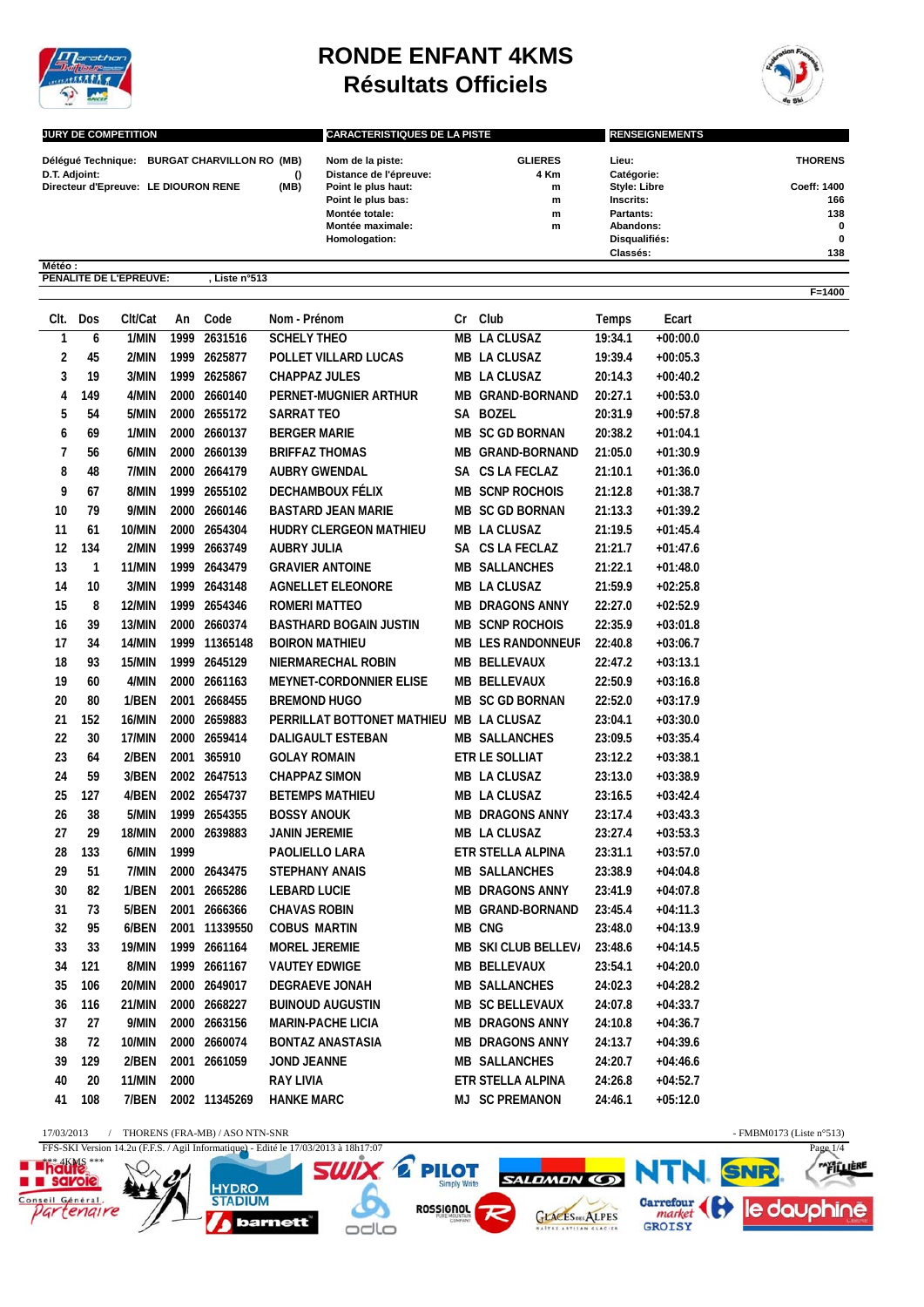

**Météo : PENALITE DE L'EPREUVE: , Liste n°513**

## **RONDE ENFANT 4KMS Résultats Officiels**



**F=1400**

| <b>JURY DE COMPETITION</b> |                                      |          | <b>CARACTERISTIQUES DE LA PISTE</b> |                | <b>RENSEIGNEMENTS</b> |                    |  |
|----------------------------|--------------------------------------|----------|-------------------------------------|----------------|-----------------------|--------------------|--|
| Délégué Technique:         | <b>BURGAT CHARVILLON RO (MB)</b>     |          | Nom de la piste:                    | <b>GLIERES</b> | Lieu:                 | <b>THORENS</b>     |  |
| D.T. Adjoint:              |                                      | $\Omega$ | Distance de l'épreuve:              | 4 Km           | Catégorie:            |                    |  |
|                            | Directeur d'Epreuve: LE DIOURON RENE | (MB)     | Point le plus haut:                 | m              | <b>Style: Libre</b>   | <b>Coeff: 1400</b> |  |
|                            |                                      |          | Point le plus bas:                  | m              | Inscrits:             | 166                |  |
|                            |                                      |          | Montée totale:                      | m              | Partants:             | 138                |  |
|                            |                                      |          | Montée maximale:                    | m              | Abandons:             | $\bf{0}$           |  |
|                            |                                      |          | Homologation:                       |                | Disqualifiés:         | $\bf{0}$           |  |
|                            |                                      |          |                                     |                | Classés:              | 138                |  |

|    | CIt. Dos | Clt/Cat | An   | Code          | Nom - Prénom                            | Cr Club                  | Temps   | Ecart      |
|----|----------|---------|------|---------------|-----------------------------------------|--------------------------|---------|------------|
| 1  | 6        | 1/MIN   |      | 1999 2631516  | <b>SCHELY THEO</b>                      | <b>MB LA CLUSAZ</b>      | 19:34.1 | $+00:00.0$ |
| 2  | 45       | 2/MIN   |      | 1999 2625877  | POLLET VILLARD LUCAS                    | MB LA CLUSAZ             | 19:39.4 | $+00:05.3$ |
| 3  | 19       | 3/MIN   |      | 1999 2625867  | <b>CHAPPAZ JULES</b>                    | MB LA CLUSAZ             | 20:14.3 | $+00:40.2$ |
| 4  | 149      | 4/MIN   |      | 2000 2660140  | PERNET-MUGNIER ARTHUR                   | <b>MB GRAND-BORNAND</b>  | 20:27.1 | $+00:53.0$ |
| 5  | 54       | 5/MIN   |      | 2000 2655172  | SARRAT TEO                              | SA BOZEL                 | 20:31.9 | $+00:57.8$ |
| 6  | 69       | 1/MIN   |      | 2000 2660137  | <b>BERGER MARIE</b>                     | <b>MB SC GD BORNAN</b>   | 20:38.2 | $+01:04.1$ |
| 7  | 56       | 6/MIN   |      | 2000 2660139  | <b>BRIFFAZ THOMAS</b>                   | MB GRAND-BORNAND         | 21:05.0 | $+01:30.9$ |
| 8  | 48       | 7/MIN   |      | 2000 2664179  | <b>AUBRY GWENDAL</b>                    | SA CS LA FECLAZ          | 21:10.1 | $+01:36.0$ |
| 9  | 67       | 8/MIN   |      | 1999 2655102  | <b>DECHAMBOUX FÉLIX</b>                 | <b>MB SCNP ROCHOIS</b>   | 21:12.8 | $+01:38.7$ |
| 10 | 79       | 9/MIN   |      | 2000 2660146  | <b>BASTARD JEAN MARIE</b>               | <b>MB SC GD BORNAN</b>   | 21:13.3 | $+01:39.2$ |
| 11 | 61       | 10/MIN  |      | 2000 2654304  | HUDRY CLERGEON MATHIEU                  | MB LA CLUSAZ             | 21:19.5 | $+01:45.4$ |
| 12 | 134      | 2/MIN   |      | 1999 2663749  | <b>AUBRY JULIA</b>                      | SA CS LA FECLAZ          | 21:21.7 | $+01:47.6$ |
| 13 | 1        | 11/MIN  |      | 1999 2643479  | <b>GRAVIER ANTOINE</b>                  | <b>MB SALLANCHES</b>     | 21:22.1 | $+01:48.0$ |
| 14 | 10       | 3/MIN   |      | 1999 2643148  | <b>AGNELLET ELEONORE</b>                | MB LA CLUSAZ             | 21:59.9 | $+02:25.8$ |
| 15 | 8        | 12/MIN  |      | 1999 2654346  | ROMERI MATTEO                           | <b>MB DRAGONS ANNY</b>   | 22:27.0 | $+02:52.9$ |
| 16 | 39       | 13/MIN  |      | 2000 2660374  | <b>BASTHARD BOGAIN JUSTIN</b>           | <b>MB SCNP ROCHOIS</b>   | 22:35.9 | $+03:01.8$ |
| 17 | 34       | 14/MIN  |      | 1999 11365148 | <b>BOIRON MATHIEU</b>                   | <b>MB LES RANDONNEUF</b> | 22:40.8 | $+03:06.7$ |
| 18 | 93       | 15/MIN  |      | 1999 2645129  | NIERMARECHAL ROBIN                      | MB BELLEVAUX             | 22:47.2 | $+03:13.1$ |
| 19 | 60       | 4/MIN   |      | 2000 2661163  | <b>MEYNET-CORDONNIER ELISE</b>          | MB BELLEVAUX             | 22:50.9 | $+03:16.8$ |
| 20 | 80       | 1/BEN   |      | 2001 2668455  | <b>BREMOND HUGO</b>                     | <b>MB SC GD BORNAN</b>   | 22:52.0 | $+03:17.9$ |
| 21 | 152      | 16/MIN  |      | 2000 2659883  | PERRILLAT BOTTONET MATHIEU MB LA CLUSAZ |                          | 23:04.1 | $+03:30.0$ |
| 22 | 30       | 17/MIN  |      | 2000 2659414  | <b>DALIGAULT ESTEBAN</b>                | <b>MB SALLANCHES</b>     | 23:09.5 | $+03:35.4$ |
| 23 | 64       | 2/BEN   |      | 2001 365910   | <b>GOLAY ROMAIN</b>                     | ETR LE SOLLIAT           | 23:12.2 | $+03:38.1$ |
| 24 | 59       | 3/BEN   |      | 2002 2647513  | <b>CHAPPAZ SIMON</b>                    | MB LA CLUSAZ             | 23:13.0 | $+03:38.9$ |
| 25 | 127      | 4/BEN   |      | 2002 2654737  | <b>BETEMPS MATHIEU</b>                  | MB LA CLUSAZ             | 23:16.5 | $+03:42.4$ |
| 26 | 38       | 5/MIN   |      | 1999 2654355  | <b>BOSSY ANOUK</b>                      | <b>MB DRAGONS ANNY</b>   | 23:17.4 | $+03:43.3$ |
| 27 | 29       | 18/MIN  |      | 2000 2639883  | JANIN JEREMIE                           | MB LA CLUSAZ             | 23:27.4 | $+03:53.3$ |
| 28 | 133      | 6/MIN   | 1999 |               | PAOLIELLO LARA                          | ETR STELLA ALPINA        | 23:31.1 | $+03:57.0$ |
| 29 | 51       | 7/MIN   |      | 2000 2643475  | <b>STEPHANY ANAIS</b>                   | <b>MB SALLANCHES</b>     | 23:38.9 | $+04:04.8$ |
| 30 | 82       | 1/BEN   |      | 2001 2665286  | <b>LEBARD LUCIE</b>                     | <b>MB DRAGONS ANNY</b>   | 23:41.9 | $+04:07.8$ |
| 31 | 73       | 5/BEN   | 2001 | 2666366       | <b>CHAVAS ROBIN</b>                     | MB GRAND-BORNAND         | 23:45.4 | $+04:11.3$ |
| 32 | 95       | 6/BEN   |      | 2001 11339550 | <b>COBUS MARTIN</b>                     | MB CNG                   | 23:48.0 | $+04:13.9$ |
| 33 | 33       | 19/MIN  |      | 1999 2661164  | <b>MOREL JEREMIE</b>                    | MB SKI CLUB BELLEV/      | 23:48.6 | $+04:14.5$ |
| 34 | 121      | 8/MIN   |      | 1999 2661167  | <b>VAUTEY EDWIGE</b>                    | MB BELLEVAUX             | 23:54.1 | $+04:20.0$ |
| 35 | 106      | 20/MIN  |      | 2000 2649017  | <b>DEGRAEVE JONAH</b>                   | <b>MB SALLANCHES</b>     | 24:02.3 | $+04:28.2$ |
| 36 | 116      | 21/MIN  |      | 2000 2668227  | <b>BUINOUD AUGUSTIN</b>                 | MB SC BELLEVAUX          | 24:07.8 | $+04:33.7$ |
| 37 | 27       | 9/MIN   |      | 2000 2663156  | <b>MARIN-PACHE LICIA</b>                | <b>MB DRAGONS ANNY</b>   | 24:10.8 | $+04:36.7$ |
| 38 | 72       | 10/MIN  |      | 2000 2660074  | <b>BONTAZ ANASTASIA</b>                 | <b>MB DRAGONS ANNY</b>   | 24:13.7 | $+04:39.6$ |
| 39 | 129      | 2/BEN   |      | 2001 2661059  | <b>JOND JEANNE</b>                      | <b>MB SALLANCHES</b>     | 24:20.7 | $+04:46.6$ |
| 40 | 20       | 11/MIN  | 2000 |               | <b>RAY LIVIA</b>                        | ETR STELLA ALPINA        | 24:26.8 | $+04:52.7$ |
| 41 | 108      | 7/BEN   |      | 2002 11345269 | <b>HANKE MARC</b>                       | <b>MJ SC PREMANON</b>    | 24:46.1 | $+05:12.0$ |
|    |          |         |      |               |                                         |                          |         |            |

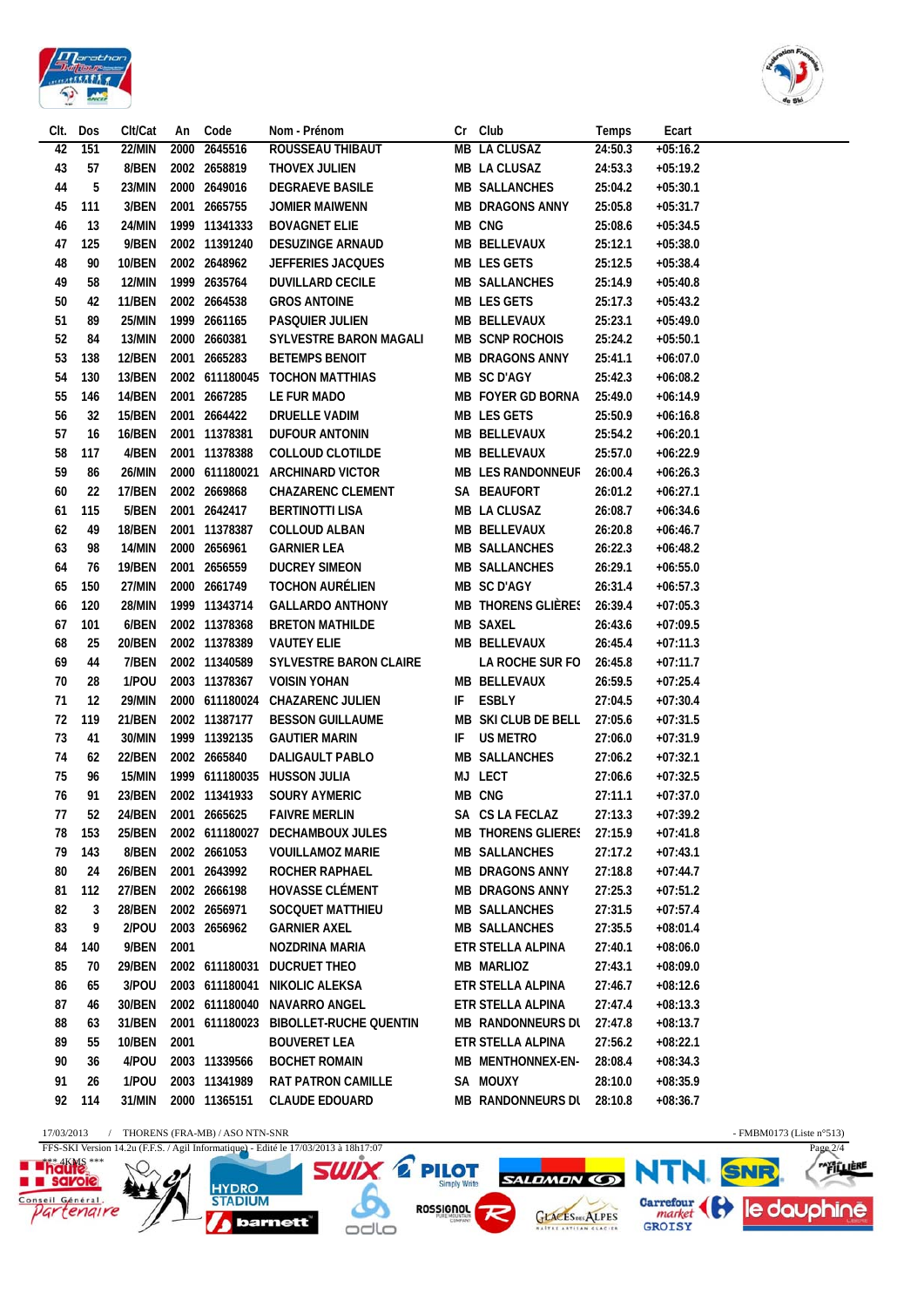



|    | Clt. Dos | Clt/Cat       |      | An Code             | Nom - Prénom                          | Cr Club                    | Temps   | Ecart      |
|----|----------|---------------|------|---------------------|---------------------------------------|----------------------------|---------|------------|
| 42 | 151      | 22/MIN        |      | 2000 2645516        | ROUSSEAU THIBAUT                      | MB LA CLUSAZ               | 24:50.3 | $+05:16.2$ |
| 43 | 57       | 8/BEN         |      | 2002 2658819        | THOVEX JULIEN                         | MB LA CLUSAZ               | 24:53.3 | $+05:19.2$ |
| 44 | 5        | 23/MIN        |      | 2000 2649016        | <b>DEGRAEVE BASILE</b>                | <b>MB SALLANCHES</b>       | 25:04.2 | $+05:30.1$ |
| 45 | 111      | 3/BEN         |      | 2001 2665755        | JOMIER MAIWENN                        | <b>MB DRAGONS ANNY</b>     | 25:05.8 | $+05:31.7$ |
| 46 | 13       | 24/MIN        |      | 1999 11341333       | <b>BOVAGNET ELIE</b>                  | MB CNG                     | 25:08.6 | $+05:34.5$ |
| 47 | 125      | 9/BEN         |      | 2002 11391240       | DESUZINGE ARNAUD                      | MB BELLEVAUX               | 25:12.1 | $+05:38.0$ |
| 48 | 90       | 10/BEN        |      | 2002 2648962        | <b>JEFFERIES JACQUES</b>              | MB LES GETS                | 25:12.5 | $+05:38.4$ |
| 49 | 58       | 12/MIN        |      | 1999 2635764        | <b>DUVILLARD CECILE</b>               | <b>MB SALLANCHES</b>       | 25:14.9 | $+05:40.8$ |
| 50 | 42       | <b>11/BEN</b> |      | 2002 2664538        | <b>GROS ANTOINE</b>                   | MB LES GETS                | 25:17.3 | $+05:43.2$ |
| 51 | 89       | 25/MIN        |      | 1999 2661165        | PASQUIER JULIEN                       | MB BELLEVAUX               | 25:23.1 | $+05:49.0$ |
| 52 | 84       | 13/MIN        |      | 2000 2660381        | SYLVESTRE BARON MAGALI                | MB SCNP ROCHOIS            | 25:24.2 | $+05:50.1$ |
| 53 | 138      | <b>12/BEN</b> |      | 2001 2665283        | <b>BETEMPS BENOIT</b>                 | MB DRAGONS ANNY            | 25:41.1 | $+06:07.0$ |
| 54 | 130      | 13/BEN        |      |                     | 2002 611180045 TOCHON MATTHIAS        | MB SC D'AGY                | 25:42.3 | $+06:08.2$ |
| 55 | 146      | <b>14/BEN</b> |      | 2001 2667285        | LE FUR MADO                           | MB FOYER GD BORNA          | 25:49.0 | $+06:14.9$ |
| 56 | 32       | <b>15/BEN</b> |      | 2001 2664422        | DRUELLE VADIM                         | MB LES GETS                | 25:50.9 | $+06:16.8$ |
| 57 | 16       | <b>16/BEN</b> |      | 2001 11378381       | <b>DUFOUR ANTONIN</b>                 | MB BELLEVAUX               | 25:54.2 | $+06:20.1$ |
| 58 | 117      | 4/BEN         |      | 2001 11378388       | <b>COLLOUD CLOTILDE</b>               | MB BELLEVAUX               | 25:57.0 | $+06:22.9$ |
| 59 | 86       | 26/MIN        |      |                     | 2000 611180021 ARCHINARD VICTOR       | MB LES RANDONNEUF          | 26:00.4 | $+06:26.3$ |
| 60 | 22       | 17/BEN        |      | 2002 2669868        | <b>CHAZARENC CLEMENT</b>              | SA BEAUFORT                | 26:01.2 | $+06:27.1$ |
| 61 | 115      | 5/BEN         |      | 2001 2642417        | <b>BERTINOTTI LISA</b>                | MB LA CLUSAZ               | 26:08.7 | $+06:34.6$ |
| 62 | 49       | <b>18/BEN</b> |      | 2001 11378387       | <b>COLLOUD ALBAN</b>                  | MB BELLEVAUX               | 26:20.8 | $+06:46.7$ |
| 63 | 98       | 14/MIN        |      | 2000 2656961        | <b>GARNIER LEA</b>                    | <b>MB SALLANCHES</b>       | 26:22.3 | $+06:48.2$ |
| 64 | 76       | <b>19/BEN</b> |      | 2001 2656559        | <b>DUCREY SIMEON</b>                  | <b>MB SALLANCHES</b>       | 26:29.1 | $+06:55.0$ |
| 65 | 150      | 27/MIN        |      | 2000 2661749        | <b>TOCHON AURELIEN</b>                | MB SC D'AGY                | 26:31.4 | $+06:57.3$ |
| 66 | 120      | 28/MIN        |      | 1999 11343714       | <b>GALLARDO ANTHONY</b>               | MB THORENS GLIÈRES         | 26:39.4 | $+07:05.3$ |
| 67 | 101      | 6/BEN         |      | 2002 11378368       | <b>BRETON MATHILDE</b>                | MB SAXEL                   | 26:43.6 | $+07:09.5$ |
| 68 | 25       | 20/BEN        |      | 2002 11378389       | <b>VAUTEY ELIE</b>                    | MB BELLEVAUX               | 26:45.4 | $+07:11.3$ |
| 69 | 44       | 7/BEN         |      | 2002 11340589       | SYLVESTRE BARON CLAIRE                | LA ROCHE SUR FO            | 26:45.8 | $+07:11.7$ |
| 70 | 28       | 1/POU         |      | 2003 11378367       | <b>VOISIN YOHAN</b>                   | MB BELLEVAUX               | 26:59.5 | $+07:25.4$ |
| 71 | 12       | 29/MIN        |      |                     | 2000 611180024 CHAZARENC JULIEN       | IF ESBLY                   | 27:04.5 | $+07:30.4$ |
| 72 | 119      | 21/BEN        |      | 2002 11387177       | <b>BESSON GUILLAUME</b>               | MB SKI CLUB DE BELL        | 27:05.6 | $+07:31.5$ |
| 73 | 41       | 30/MIN        |      | 1999 11392135       | <b>GAUTIER MARIN</b>                  | IF US METRO                | 27:06.0 | $+07:31.9$ |
| 74 | 62       | 22/BEN        |      | 2002 2665840        | DALIGAULT PABLO                       | <b>MB SALLANCHES</b>       | 27:06.2 | $+07:32.1$ |
| 75 | 96       | 15/MIN        |      |                     | 1999 611180035 HUSSON JULIA           | MJ LECT                    | 27:06.6 | $+07:32.5$ |
| 76 | 91       | 23/BEN        |      | 2002 11341933       | <b>SOURY AYMERIC</b>                  | <b>MB CNG</b>              | 27:11.1 | $+07:37.0$ |
| 77 | 52       |               |      | 24/BEN 2001 2665625 | <b>FAIVRE MERLIN</b>                  | SA CS LA FECLAZ            | 27:13.3 | $+07:39.2$ |
| 78 | 153      | 25/BEN        |      |                     | 2002 611180027 DECHAMBOUX JULES       | MB THORENS GLIERE: 27:15.9 |         | $+07:41.8$ |
| 79 | 143      | 8/BEN         |      | 2002 2661053        | <b>VOUILLAMOZ MARIE</b>               | <b>MB SALLANCHES</b>       | 27:17.2 | $+07:43.1$ |
| 80 | 24       | 26/BEN        |      | 2001 2643992        | ROCHER RAPHAEL                        | <b>MB DRAGONS ANNY</b>     | 27:18.8 | $+07:44.7$ |
| 81 | 112      | 27/BEN        |      | 2002 2666198        | <b>HOVASSE CLÉMENT</b>                | <b>MB DRAGONS ANNY</b>     | 27:25.3 | $+07:51.2$ |
| 82 | 3        | 28/BEN        |      | 2002 2656971        | SOCQUET MATTHIEU                      | <b>MB SALLANCHES</b>       | 27:31.5 | $+07:57.4$ |
| 83 | 9        | 2/POU         |      | 2003 2656962        | <b>GARNIER AXEL</b>                   | <b>MB SALLANCHES</b>       | 27:35.5 | $+08:01.4$ |
| 84 | 140      | 9/BEN         | 2001 |                     | NOZDRINA MARIA                        | ETR STELLA ALPINA          | 27:40.1 | $+08:06.0$ |
| 85 | 70       | 29/BEN        |      |                     | 2002 611180031 DUCRUET THEO           | <b>MB MARLIOZ</b>          | 27:43.1 | $+08:09.0$ |
| 86 | 65       | 3/POU         |      |                     | 2003 611180041 NIKOLIC ALEKSA         | ETR STELLA ALPINA          | 27:46.7 | $+08:12.6$ |
| 87 | 46       | 30/BEN        |      |                     | 2002 611180040 NAVARRO ANGEL          | ETR STELLA ALPINA          | 27:47.4 | $+08:13.3$ |
| 88 | 63       | 31/BEN        |      |                     | 2001 611180023 BIBOLLET-RUCHE QUENTIN | MB RANDONNEURS DL 27:47.8  |         | $+08:13.7$ |
| 89 | 55       | <b>10/BEN</b> | 2001 |                     | <b>BOUVERET LEA</b>                   | ETR STELLA ALPINA          | 27:56.2 | $+08:22.1$ |
| 90 | 36       | 4/POU         |      | 2003 11339566       | <b>BOCHET ROMAIN</b>                  | MB MENTHONNEX-EN-          | 28:08.4 | $+08:34.3$ |
| 91 | 26       | 1/POU         |      | 2003 11341989       | <b>RAT PATRON CAMILLE</b>             | SA MOUXY                   | 28:10.0 | $+08:35.9$ |
| 92 | 114      | 31/MIN        |      | 2000 11365151       | <b>CLAUDE EDOUARD</b>                 | MB RANDONNEURS DI 28:10.8  |         | $+08:36.7$ |
|    |          |               |      |                     |                                       |                            |         |            |

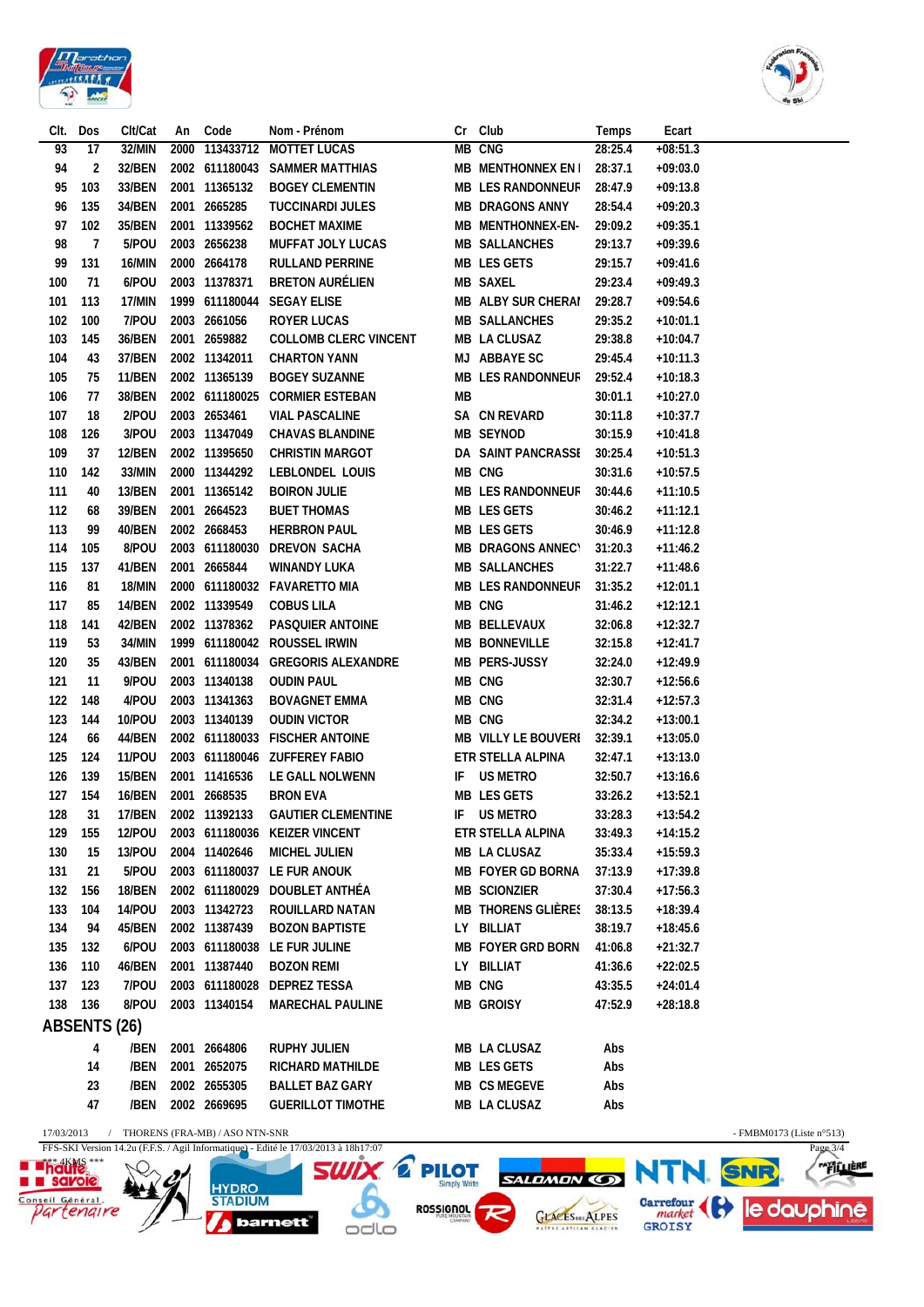

Ÿ

*barnett* 

 $OdO$ 

GLACESDES ALPES



Garrefour (et le douphine

|                        | Dos            | Clt/Cat       | An   | Code                           | Nom - Prénom                                                                        | Cr                                  | Club                      | Temps   | Ecart                    |                          |                      |
|------------------------|----------------|---------------|------|--------------------------------|-------------------------------------------------------------------------------------|-------------------------------------|---------------------------|---------|--------------------------|--------------------------|----------------------|
| 93                     | 17             | 32/MIN        | 2000 | 113433712                      | <b>MOTTET LUCAS</b>                                                                 |                                     | MB CNG                    | 28:25.4 | $+08:51.3$               |                          |                      |
| 94                     | 2              | 32/BEN        |      |                                | 2002 611180043 SAMMER MATTHIAS                                                      |                                     | MB MENTHONNEX EN I        | 28:37.1 | $+09:03.0$               |                          |                      |
| 95                     | 103            | 33/BEN        |      | 2001 11365132                  | <b>BOGEY CLEMENTIN</b>                                                              |                                     | <b>MB LES RANDONNEUF</b>  | 28:47.9 | $+09:13.8$               |                          |                      |
| 96                     | 135            | 34/BEN        | 2001 | 2665285                        | <b>TUCCINARDI JULES</b>                                                             |                                     | <b>MB DRAGONS ANNY</b>    | 28:54.4 | $+09:20.3$               |                          |                      |
| 97                     | 102            | 35/BEN        |      | 2001 11339562                  | <b>BOCHET MAXIME</b>                                                                |                                     | MB MENTHONNEX-EN-         | 29:09.2 | $+09:35.1$               |                          |                      |
| 98                     | $\overline{1}$ | 5/POU         |      | 2003 2656238                   | <b>MUFFAT JOLY LUCAS</b>                                                            |                                     | <b>MB SALLANCHES</b>      | 29:13.7 | $+09:39.6$               |                          |                      |
| 99                     | 131            | 16/MIN        |      | 2000 2664178                   | <b>RULLAND PERRINE</b>                                                              |                                     | <b>MB LES GETS</b>        | 29:15.7 | $+09:41.6$               |                          |                      |
| 100                    | 71             | 6/POU         |      | 2003 11378371                  | <b>BRETON AURÉLIEN</b>                                                              |                                     | <b>MB SAXEL</b>           | 29:23.4 | $+09:49.3$               |                          |                      |
| 101                    | 113            | 17/MIN        |      | 1999 611180044                 | <b>SEGAY ELISE</b>                                                                  |                                     | <b>MB ALBY SUR CHERAI</b> | 29:28.7 | $+09:54.6$               |                          |                      |
| 102                    | 100            | 7/POU         |      | 2003 2661056                   | <b>ROYER LUCAS</b>                                                                  |                                     | <b>MB SALLANCHES</b>      | 29:35.2 | $+10:01.1$               |                          |                      |
| 103                    | 145            | 36/BEN        |      | 2001 2659882                   | <b>COLLOMB CLERC VINCENT</b>                                                        |                                     | MB LA CLUSAZ              | 29:38.8 | $+10:04.7$               |                          |                      |
| 104                    | 43             | 37/BEN        |      | 2002 11342011                  | <b>CHARTON YANN</b>                                                                 |                                     | MJ ABBAYE SC              | 29:45.4 | $+10:11.3$               |                          |                      |
| 105                    | 75             | <b>11/BEN</b> |      | 2002 11365139                  | <b>BOGEY SUZANNE</b>                                                                |                                     | <b>MB LES RANDONNEUF</b>  | 29:52.4 | $+10:18.3$               |                          |                      |
| 106                    | 77             | 38/BEN        |      | 2002 611180025                 | <b>CORMIER ESTEBAN</b>                                                              | МB                                  |                           | 30:01.1 | $+10:27.0$               |                          |                      |
| 107                    | 18             | 2/POU         |      | 2003 2653461                   | <b>VIAL PASCALINE</b>                                                               |                                     | SA CN REVARD              | 30:11.8 | $+10:37.7$               |                          |                      |
| 108                    | 126            | 3/POU         |      | 2003 11347049                  | <b>CHAVAS BLANDINE</b>                                                              |                                     | <b>MB SEYNOD</b>          | 30:15.9 | $+10:41.8$               |                          |                      |
| 109                    | 37             | 12/BEN        |      | 2002 11395650                  | <b>CHRISTIN MARGOT</b>                                                              |                                     | DA SAINT PANCRASSI        | 30:25.4 | $+10:51.3$               |                          |                      |
| 110                    | 142            | 33/MIN        |      | 2000 11344292                  | LEBLONDEL LOUIS                                                                     |                                     | MB CNG                    | 30:31.6 | $+10:57.5$               |                          |                      |
| 111                    | 40             | 13/BEN        |      | 2001 11365142                  | <b>BOIRON JULIE</b>                                                                 |                                     | <b>MB LES RANDONNEUF</b>  | 30:44.6 | $+11:10.5$               |                          |                      |
| 112                    | 68             | 39/BEN        |      | 2001 2664523                   | <b>BUET THOMAS</b>                                                                  |                                     | MB LES GETS               | 30:46.2 | $+11:12.1$               |                          |                      |
| 113                    | 99             | 40/BEN        |      | 2002 2668453                   | <b>HERBRON PAUL</b>                                                                 |                                     | MB LES GETS               | 30:46.9 | $+11:12.8$               |                          |                      |
|                        | 105            | 8/POU         |      |                                | 2003 611180030 DREVON SACHA                                                         |                                     | <b>MB DRAGONS ANNECY</b>  | 31:20.3 |                          |                          |                      |
| 114<br>115             | 137            | 41/BEN        |      | 2001 2665844                   | <b>WINANDY LUKA</b>                                                                 |                                     | <b>MB SALLANCHES</b>      | 31:22.7 | $+11:46.2$<br>$+11:48.6$ |                          |                      |
|                        |                |               |      |                                |                                                                                     |                                     |                           |         |                          |                          |                      |
| 116                    | 81             | 18/MIN        |      |                                | 2000 611180032 FAVARETTO MIA                                                        |                                     | <b>MB LES RANDONNEUF</b>  | 31:35.2 | $+12:01.1$               |                          |                      |
| 117                    | 85             | 14/BEN        |      | 2002 11339549                  | <b>COBUS LILA</b>                                                                   |                                     | MB CNG                    | 31:46.2 | $+12:12.1$               |                          |                      |
| 118                    | 141            | 42/BEN        |      | 2002 11378362                  | PASQUIER ANTOINE                                                                    |                                     | MB BELLEVAUX              | 32:06.8 | $+12:32.7$               |                          |                      |
| 119                    | 53             | 34/MIN        |      |                                | 1999 611180042 ROUSSEL IRWIN                                                        |                                     | <b>MB BONNEVILLE</b>      | 32:15.8 | $+12:41.7$               |                          |                      |
| 120                    | 35             | 43/BEN        |      |                                | 2001 611180034 GREGORIS ALEXANDRE                                                   |                                     | MB PERS-JUSSY             | 32:24.0 | $+12:49.9$               |                          |                      |
| 121                    | 11             | 9/POU         |      | 2003 11340138                  | <b>OUDIN PAUL</b>                                                                   |                                     | MB CNG                    | 32:30.7 | $+12:56.6$               |                          |                      |
| 122                    | 148            | 4/POU         |      | 2003 11341363                  | <b>BOVAGNET EMMA</b>                                                                |                                     | MB CNG                    | 32:31.4 | $+12:57.3$               |                          |                      |
| 123                    | 144            | 10/POU        |      | 2003 11340139                  | <b>OUDIN VICTOR</b>                                                                 |                                     | MB CNG                    | 32:34.2 | $+13:00.1$               |                          |                      |
| 124                    | 66             | 44/BEN        |      |                                | 2002 611180033 FISCHER ANTOINE                                                      |                                     | MB VILLY LE BOUVERI       | 32:39.1 | $+13:05.0$               |                          |                      |
| 125                    | 124            | <b>11/POU</b> |      |                                | 2003 611180046 ZUFFEREY FABIO                                                       |                                     | ETR STELLA ALPINA         | 32:47.1 | $+13:13.0$               |                          |                      |
| 126                    | 139            | 15/BEN        |      | 2001 11416536                  | LE GALL NOLWENN                                                                     | IF                                  | <b>US METRO</b>           | 32:50.7 | $+13:16.6$               |                          |                      |
| 127                    | 154            | 16/BEN        |      | 2001 2668535                   | <b>BRON EVA</b>                                                                     |                                     | MB LES GETS               | 33:26.2 | $+13:52.1$               |                          |                      |
| 128                    | 31             | 17/BEN        |      | 2002 11392133                  | <b>GAUTIER CLEMENTINE</b>                                                           | IF                                  | <b>US METRO</b>           | 33:28.3 | $+13:54.2$               |                          |                      |
| 129                    | 155            | <b>12/POU</b> |      |                                | 2003 611180036 KEIZER VINCENT                                                       |                                     | ETR STELLA ALPINA         | 33:49.3 | $+14:15.2$               |                          |                      |
| 130                    | 15             | 13/POU        | 2004 | 11402646                       | MICHEL JULIEN                                                                       |                                     | <b>MB LA CLUSAZ</b>       | 35:33.4 | $+15:59.3$               |                          |                      |
| 131                    | 21             | 5/POU         |      |                                | 2003 611180037 LE FUR ANOUK                                                         |                                     | MB FOYER GD BORNA         | 37:13.9 | $+17:39.8$               |                          |                      |
| 132                    | 156            | <b>18/BEN</b> |      | 2002 611180029                 | DOUBLET ANTHÉA                                                                      |                                     | <b>MB SCIONZIER</b>       | 37:30.4 | $+17:56.3$               |                          |                      |
| 133                    | 104            | 14/POU        |      | 2003 11342723                  | <b>ROUILLARD NATAN</b>                                                              |                                     | <b>MB THORENS GLIÈRES</b> | 38:13.5 | $+18:39.4$               |                          |                      |
| 134                    | 94             | 45/BEN        |      | 2002 11387439                  | <b>BOZON BAPTISTE</b>                                                               | LY.                                 | <b>BILLIAT</b>            | 38:19.7 | $+18:45.6$               |                          |                      |
| 135                    | 132            | 6/POU         | 2003 |                                | 611180038 LE FUR JULINE                                                             |                                     | <b>MB FOYER GRD BORN</b>  | 41:06.8 | $+21:32.7$               |                          |                      |
| 136                    | 110            | 46/BEN        |      | 2001 11387440                  | <b>BOZON REMI</b>                                                                   | LY -                                | BILLIAT                   | 41:36.6 | $+22:02.5$               |                          |                      |
| 137                    | 123            | 7/POU         |      | 2003 611180028                 | <b>DEPREZ TESSA</b>                                                                 |                                     | MB CNG                    | 43:35.5 | $+24:01.4$               |                          |                      |
| 138                    | 136            | 8/POU         |      | 2003 11340154                  | <b>MARECHAL PAULINE</b>                                                             |                                     | <b>MB GROISY</b>          | 47:52.9 | $+28:18.8$               |                          |                      |
|                        |                |               |      |                                |                                                                                     |                                     |                           |         |                          |                          |                      |
|                        | ABSENTS (26)   |               |      |                                |                                                                                     |                                     |                           |         |                          |                          |                      |
|                        | 4              | /BEN          |      | 2001 2664806                   | <b>RUPHY JULIEN</b>                                                                 |                                     | MB LA CLUSAZ              | Abs     |                          |                          |                      |
|                        | 14             | /BEN          |      | 2001 2652075                   | <b>RICHARD MATHILDE</b>                                                             |                                     | MB LES GETS               | Abs     |                          |                          |                      |
|                        | 23             | /BEN          |      | 2002 2655305                   | <b>BALLET BAZ GARY</b>                                                              |                                     | MB CS MEGEVE              | Abs     |                          |                          |                      |
|                        | 47             | /BEN          |      | 2002 2669695                   | <b>GUERILLOT TIMOTHE</b>                                                            |                                     | MB LA CLUSAZ              | Abs     |                          |                          |                      |
| 17/03/2013             |                |               |      | THORENS (FRA-MB) / ASO NTN-SNR |                                                                                     |                                     |                           |         |                          | - FMBM0173 (Liste n°513) |                      |
|                        |                |               |      |                                | FFS-SKI Version 14.2u (F.F.S. / Agil Informatique) - Edité le 17/03/2013 à 18h17:07 |                                     |                           |         |                          |                          | Page $3\overline{4}$ |
|                        |                |               |      |                                |                                                                                     |                                     |                           |         |                          |                          |                      |
|                        |                |               |      |                                |                                                                                     |                                     |                           |         |                          |                          |                      |
| <b>haule</b><br>savoie |                |               |      | <b>HYDRO</b>                   | SWIX                                                                                | <b>PILOT</b><br><b>Simply Write</b> | <b>SALDMON CD</b>         |         |                          |                          | <b>"FILLIERE</b>     |